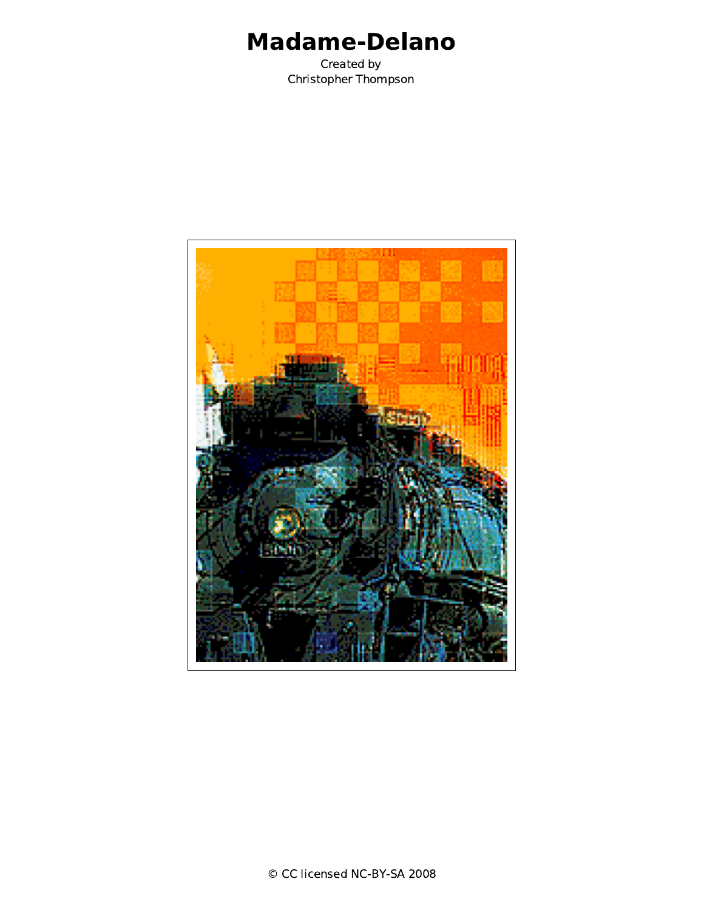## Madame-Delano

Created by Christopher Thompson

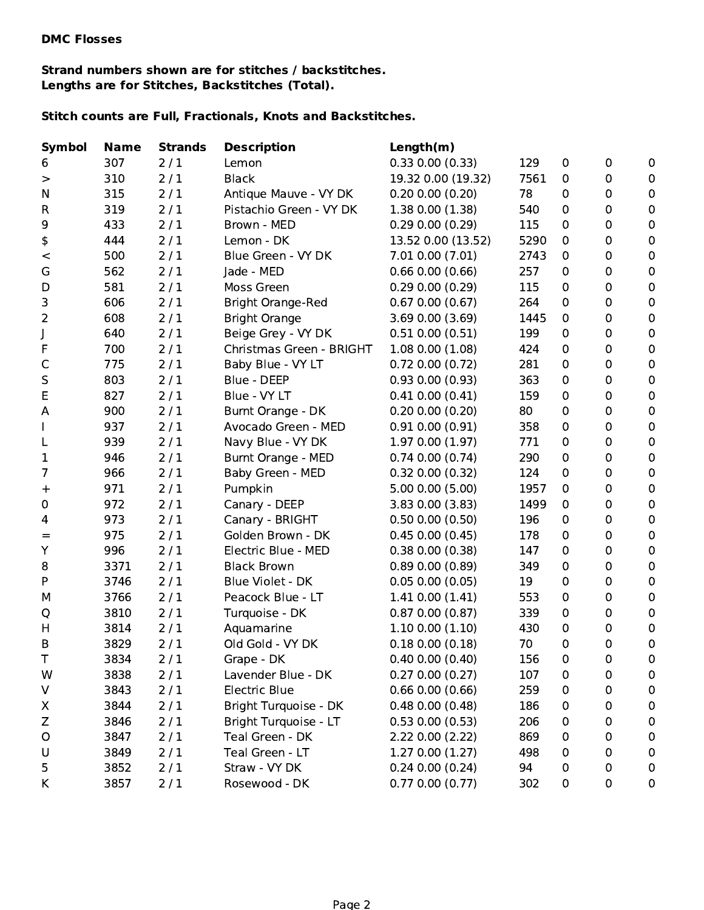## Strand numbers shown are for stitches / backstitches. Lengths are for Stitches, Backstitches (Total).

## Stitch counts are Full, Fractionals, Knots and Backstitches.

| <b>Name</b> | <b>Strands</b> | <b>Description</b>                                   | Length(m)                                                                                                                   |                                                                                                                                                                                                              |                                             |             |                  |
|-------------|----------------|------------------------------------------------------|-----------------------------------------------------------------------------------------------------------------------------|--------------------------------------------------------------------------------------------------------------------------------------------------------------------------------------------------------------|---------------------------------------------|-------------|------------------|
| 307         | 2/1            | Lemon                                                | 0.33 0.00 (0.33)                                                                                                            | 129                                                                                                                                                                                                          | 0                                           | $\mathbf 0$ | $\mathbf 0$      |
| 310         | 2/1            | <b>Black</b>                                         | 19.32 0.00 (19.32)                                                                                                          | 7561                                                                                                                                                                                                         | 0                                           | $\mathbf 0$ | $\pmb{0}$        |
| 315         | 2/1            | Antique Mauve - VY DK                                | 0.20 0.00 (0.20)                                                                                                            | 78                                                                                                                                                                                                           | 0                                           | 0           | $\pmb{0}$        |
| 319         | 2/1            | Pistachio Green - VY DK                              | 1.38 0.00 (1.38)                                                                                                            | 540                                                                                                                                                                                                          | 0                                           | 0           | $\mathbf 0$      |
| 433         | 2/1            | Brown - MED                                          | 0.29 0.00 (0.29)                                                                                                            | 115                                                                                                                                                                                                          | 0                                           | $\mathbf 0$ | $\pmb{0}$        |
| 444         | 2/1            | Lemon - DK                                           | 13.52 0.00 (13.52)                                                                                                          | 5290                                                                                                                                                                                                         | 0                                           | 0           | $\boldsymbol{0}$ |
| 500         | 2/1            | Blue Green - VY DK                                   | 7.01 0.00 (7.01)                                                                                                            | 2743                                                                                                                                                                                                         | 0                                           | 0           | $\pmb{0}$        |
| 562         | 2/1            | Jade - MED                                           | $0.66$ $0.00$ $(0.66)$                                                                                                      | 257                                                                                                                                                                                                          | 0                                           | 0           | $\mathbf 0$      |
| 581         | 2/1            | Moss Green                                           | 0.29 0.00 (0.29)                                                                                                            | 115                                                                                                                                                                                                          | 0                                           | $\mathbf 0$ | $\pmb{0}$        |
| 606         | 2/1            | <b>Bright Orange-Red</b>                             | $0.67$ $0.00$ $(0.67)$                                                                                                      | 264                                                                                                                                                                                                          | 0                                           | 0           | $\boldsymbol{0}$ |
| 608         | 2/1            | <b>Bright Orange</b>                                 | 3.69 0.00 (3.69)                                                                                                            | 1445                                                                                                                                                                                                         | 0                                           | 0           | $\mathbf 0$      |
| 640         | 2/1            | Beige Grey - VY DK                                   | $0.51$ $0.00$ $(0.51)$                                                                                                      | 199                                                                                                                                                                                                          | 0                                           | 0           | $\mathbf 0$      |
| 700         | 2/1            | Christmas Green - BRIGHT                             | 1.080.00(1.08)                                                                                                              | 424                                                                                                                                                                                                          | 0                                           | 0           | $\pmb{0}$        |
| 775         | 2/1            | Baby Blue - VY LT                                    | $0.72$ $0.00$ $(0.72)$                                                                                                      | 281                                                                                                                                                                                                          | 0                                           | 0           | $\pmb{0}$        |
| 803         | 2/1            | Blue - DEEP                                          | 0.93 0.00 (0.93)                                                                                                            | 363                                                                                                                                                                                                          | 0                                           | 0           | $\pmb{0}$        |
| 827         | 2/1            | Blue - VY LT                                         | $0.41$ $0.00$ $(0.41)$                                                                                                      | 159                                                                                                                                                                                                          | 0                                           | 0           | $\mathbf 0$      |
| 900         | 2/1            | Burnt Orange - DK                                    | 0.20 0.00 (0.20)                                                                                                            | 80                                                                                                                                                                                                           | 0                                           | $\mathbf 0$ | $\pmb{0}$        |
| 937         | 2/1            | Avocado Green - MED                                  | $0.91$ $0.00$ $(0.91)$                                                                                                      | 358                                                                                                                                                                                                          | 0                                           | 0           | $\boldsymbol{0}$ |
| 939         | 2/1            | Navy Blue - VY DK                                    | 1.97 0.00 (1.97)                                                                                                            | 771                                                                                                                                                                                                          | 0                                           | 0           | $\mathbf 0$      |
| 946         | 2/1            | Burnt Orange - MED                                   | $0.74$ $0.00$ $(0.74)$                                                                                                      | 290                                                                                                                                                                                                          | 0                                           | 0           | $\mathbf 0$      |
| 966         | 2/1            | Baby Green - MED                                     | $0.32$ $0.00$ $(0.32)$                                                                                                      | 124                                                                                                                                                                                                          | 0                                           | 0           | $\pmb{0}$        |
| 971         | 2/1            | Pumpkin                                              | 5.00 0.00 (5.00)                                                                                                            | 1957                                                                                                                                                                                                         | 0                                           | 0           | $\pmb{0}$        |
| 972         | 2/1            | Canary - DEEP                                        |                                                                                                                             | 1499                                                                                                                                                                                                         | 0                                           | 0           | $\pmb{0}$        |
| 973         | 2/1            |                                                      | $0.50$ $0.00$ $(0.50)$                                                                                                      | 196                                                                                                                                                                                                          | 0                                           | 0           | $\mathbf 0$      |
| 975         | 2/1            | Golden Brown - DK                                    | $0.45$ $0.00$ $(0.45)$                                                                                                      | 178                                                                                                                                                                                                          | 0                                           | $\mathbf 0$ | $\pmb{0}$        |
| 996         | 2/1            | Electric Blue - MED                                  | 0.38 0.00 (0.38)                                                                                                            | 147                                                                                                                                                                                                          | 0                                           | 0           | $\boldsymbol{0}$ |
| 3371        | 2/1            | <b>Black Brown</b>                                   |                                                                                                                             | 349                                                                                                                                                                                                          | 0                                           | 0           | $\pmb{0}$        |
| 3746        |                | Blue Violet - DK                                     | 0.05 0.00 (0.05)                                                                                                            |                                                                                                                                                                                                              | 0                                           | 0           | $\mathbf 0$      |
| 3766        |                | Peacock Blue - LT                                    |                                                                                                                             | 553                                                                                                                                                                                                          | 0                                           | 0           | $\boldsymbol{0}$ |
| 3810        |                | Turquoise - DK                                       | 0.870.00(0.87)                                                                                                              | 339                                                                                                                                                                                                          | 0                                           | 0           | $\boldsymbol{0}$ |
| 3814        | 2/1            | Aquamarine                                           |                                                                                                                             | 430                                                                                                                                                                                                          | 0                                           | 0           | $\pmb{0}$        |
| 3829        |                |                                                      |                                                                                                                             |                                                                                                                                                                                                              | 0                                           | 0           | 0                |
|             |                |                                                      |                                                                                                                             |                                                                                                                                                                                                              |                                             |             | $\pmb{0}$        |
| 3838        | 2/1            | Lavender Blue - DK                                   |                                                                                                                             |                                                                                                                                                                                                              | 0                                           | 0           | 0                |
| 3843        |                |                                                      |                                                                                                                             |                                                                                                                                                                                                              | 0                                           | 0           | 0                |
| 3844        |                |                                                      |                                                                                                                             |                                                                                                                                                                                                              | 0                                           | 0           | 0                |
| 3846        |                |                                                      |                                                                                                                             |                                                                                                                                                                                                              | 0                                           | 0           | $\mathbf 0$      |
| 3847        | 2/1            | Teal Green - DK                                      | 2.22 0.00 (2.22)                                                                                                            | 869                                                                                                                                                                                                          | 0                                           | 0           | $\pmb{0}$        |
| 3849        | 2/1            | Teal Green - LT                                      | 1.270.00(1.27)                                                                                                              | 498                                                                                                                                                                                                          | 0                                           | 0           | 0                |
| 3852        | 2/1            | Straw - VY DK                                        | $0.24$ $0.00$ $(0.24)$                                                                                                      | 94                                                                                                                                                                                                           | 0                                           | 0           | 0                |
| 3857        | 2/1            | Rosewood - DK                                        | 0.770.00(0.77)                                                                                                              | 302                                                                                                                                                                                                          | 0                                           | 0           | 0                |
|             | 3834           | 2/1<br>2/1<br>2/1<br>2/1<br>2/1<br>2/1<br>2/1<br>2/1 | Canary - BRIGHT<br>Old Gold - VY DK<br>Grape - DK<br><b>Electric Blue</b><br>Bright Turquoise - DK<br>Bright Turquoise - LT | 3.83 0.00 (3.83)<br>0.890.00(0.89)<br>1.410.00(1.41)<br>1.100.00(1.10)<br>0.18 0.00 (0.18)<br>$0.40$ $0.00$ $(0.40)$<br>0.270.00(0.27)<br>$0.66$ $0.00$ $(0.66)$<br>0.480.00(0.48)<br>$0.53$ $0.00$ $(0.53)$ | 19<br>70<br>156<br>107<br>259<br>186<br>206 | $\pmb{0}$   | 0                |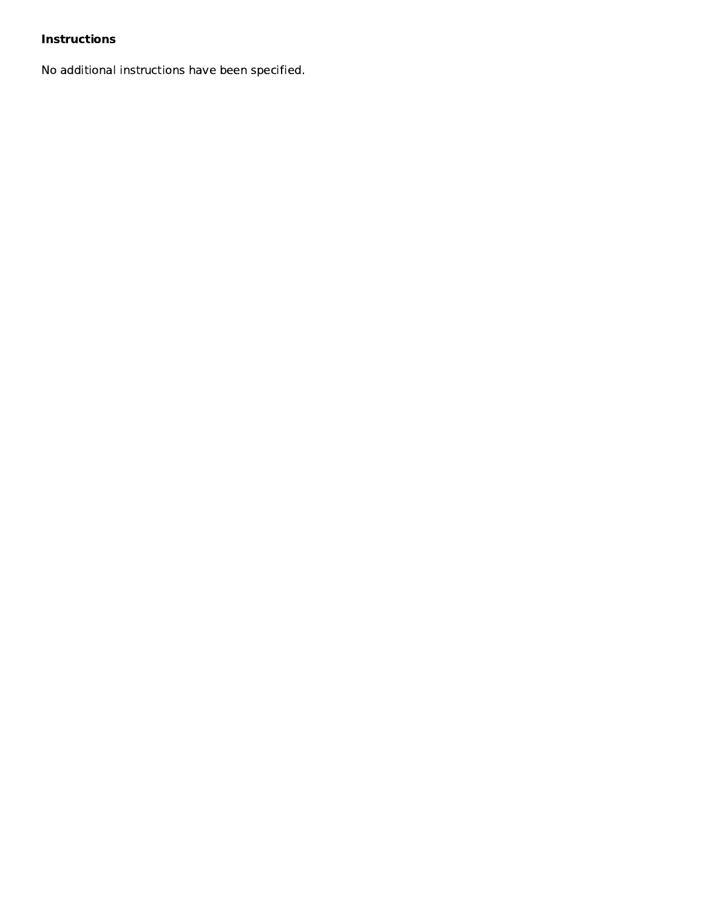## Instructions

No additional instructions have been specified.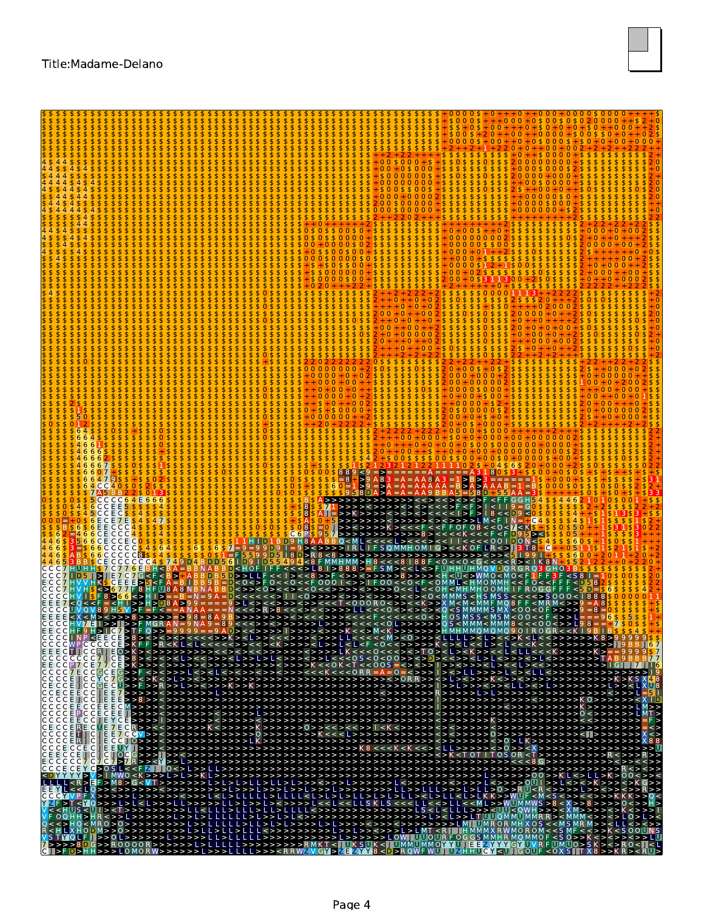

|                                               | $8 <$ D9 $<$ |
|-----------------------------------------------|--------------|
|                                               |              |
|                                               |              |
|                                               |              |
|                                               |              |
|                                               |              |
| $ M>$ < $ 3>$ > $ 3>$<br>4 J R                |              |
|                                               |              |
|                                               |              |
| $C$ ECCE ICC<br>CCECEECC                      |              |
| $CCCE$ $ICC$<br>E E<br>IC C C C E E C C E E E |              |
| ICCCCEPICC<br>C E<br>CCCCEECC                 |              |
|                                               |              |
| <b>ECCCCC7C7C7S7R&gt;&gt;<y< b=""></y<></b>   |              |
|                                               |              |
|                                               |              |
|                                               |              |
|                                               |              |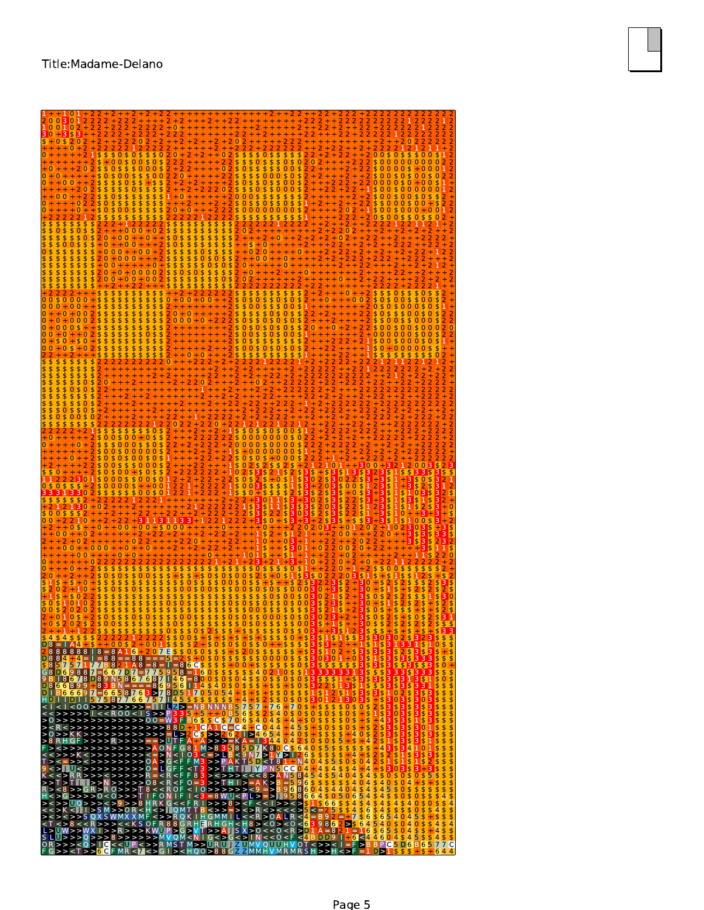| 0 <sub>0</sub><br>$+ + 0 +$<br>0<br>0<br>$+0.0$<br>0 <sub>0</sub><br>\$0\$\$000\$0\$0<br>0<br>\$505<br>$\mathbf{0}$<br>0055<br>\$0<br>302<br>0<br><b>まいてん すきする しゅうきょうきょうきょうきょう しゅうきょう こうきょう</b><br>\$<br>\$0<br>$\frac{33}{5}$<br>$\frac{53}{5}$<br>$\frac{53}{5}$<br>$\frac{53}{5}$<br><b>4944444444444444444444444444444</b><br><b>d \$\$\$\$\$\$\$\$\$\$\$\$\$\$\$\$\$\$\$\$\$\$</b><br><b>NOWWWHWWHWWWWWHWO+</b><br>33333334454545454545454545<br>\$000<br>$\frac{5}{4}$<br><b>5095</b><br>4<br>$\frac{5}{6}$<br>$\frac{1}{5}$<br>4 | 10 |                                                  |
|-----------------------------------------------------------------------------------------------------------------------------------------------------------------------------------------------------------------------------------------------------------------------------------------------------------------------------------------------------------------------------------------------------------------------------------------------------------------------------------------------------------------------------------------|----|--------------------------------------------------|
|                                                                                                                                                                                                                                                                                                                                                                                                                                                                                                                                         |    |                                                  |
|                                                                                                                                                                                                                                                                                                                                                                                                                                                                                                                                         |    |                                                  |
|                                                                                                                                                                                                                                                                                                                                                                                                                                                                                                                                         |    |                                                  |
|                                                                                                                                                                                                                                                                                                                                                                                                                                                                                                                                         |    |                                                  |
|                                                                                                                                                                                                                                                                                                                                                                                                                                                                                                                                         |    |                                                  |
|                                                                                                                                                                                                                                                                                                                                                                                                                                                                                                                                         |    |                                                  |
|                                                                                                                                                                                                                                                                                                                                                                                                                                                                                                                                         |    |                                                  |
|                                                                                                                                                                                                                                                                                                                                                                                                                                                                                                                                         |    |                                                  |
|                                                                                                                                                                                                                                                                                                                                                                                                                                                                                                                                         |    |                                                  |
|                                                                                                                                                                                                                                                                                                                                                                                                                                                                                                                                         |    |                                                  |
|                                                                                                                                                                                                                                                                                                                                                                                                                                                                                                                                         |    |                                                  |
|                                                                                                                                                                                                                                                                                                                                                                                                                                                                                                                                         |    |                                                  |
|                                                                                                                                                                                                                                                                                                                                                                                                                                                                                                                                         |    |                                                  |
|                                                                                                                                                                                                                                                                                                                                                                                                                                                                                                                                         |    |                                                  |
|                                                                                                                                                                                                                                                                                                                                                                                                                                                                                                                                         |    |                                                  |
|                                                                                                                                                                                                                                                                                                                                                                                                                                                                                                                                         |    |                                                  |
|                                                                                                                                                                                                                                                                                                                                                                                                                                                                                                                                         |    |                                                  |
|                                                                                                                                                                                                                                                                                                                                                                                                                                                                                                                                         |    |                                                  |
|                                                                                                                                                                                                                                                                                                                                                                                                                                                                                                                                         |    |                                                  |
|                                                                                                                                                                                                                                                                                                                                                                                                                                                                                                                                         |    |                                                  |
|                                                                                                                                                                                                                                                                                                                                                                                                                                                                                                                                         |    |                                                  |
|                                                                                                                                                                                                                                                                                                                                                                                                                                                                                                                                         |    |                                                  |
|                                                                                                                                                                                                                                                                                                                                                                                                                                                                                                                                         |    |                                                  |
|                                                                                                                                                                                                                                                                                                                                                                                                                                                                                                                                         |    |                                                  |
|                                                                                                                                                                                                                                                                                                                                                                                                                                                                                                                                         |    |                                                  |
|                                                                                                                                                                                                                                                                                                                                                                                                                                                                                                                                         |    |                                                  |
|                                                                                                                                                                                                                                                                                                                                                                                                                                                                                                                                         |    |                                                  |
|                                                                                                                                                                                                                                                                                                                                                                                                                                                                                                                                         |    |                                                  |
|                                                                                                                                                                                                                                                                                                                                                                                                                                                                                                                                         |    |                                                  |
|                                                                                                                                                                                                                                                                                                                                                                                                                                                                                                                                         |    |                                                  |
|                                                                                                                                                                                                                                                                                                                                                                                                                                                                                                                                         |    |                                                  |
|                                                                                                                                                                                                                                                                                                                                                                                                                                                                                                                                         |    |                                                  |
|                                                                                                                                                                                                                                                                                                                                                                                                                                                                                                                                         |    |                                                  |
|                                                                                                                                                                                                                                                                                                                                                                                                                                                                                                                                         |    |                                                  |
|                                                                                                                                                                                                                                                                                                                                                                                                                                                                                                                                         |    |                                                  |
|                                                                                                                                                                                                                                                                                                                                                                                                                                                                                                                                         |    |                                                  |
|                                                                                                                                                                                                                                                                                                                                                                                                                                                                                                                                         |    |                                                  |
|                                                                                                                                                                                                                                                                                                                                                                                                                                                                                                                                         |    |                                                  |
|                                                                                                                                                                                                                                                                                                                                                                                                                                                                                                                                         |    |                                                  |
|                                                                                                                                                                                                                                                                                                                                                                                                                                                                                                                                         |    |                                                  |
|                                                                                                                                                                                                                                                                                                                                                                                                                                                                                                                                         |    |                                                  |
|                                                                                                                                                                                                                                                                                                                                                                                                                                                                                                                                         |    |                                                  |
|                                                                                                                                                                                                                                                                                                                                                                                                                                                                                                                                         |    |                                                  |
|                                                                                                                                                                                                                                                                                                                                                                                                                                                                                                                                         |    |                                                  |
|                                                                                                                                                                                                                                                                                                                                                                                                                                                                                                                                         |    |                                                  |
|                                                                                                                                                                                                                                                                                                                                                                                                                                                                                                                                         |    |                                                  |
|                                                                                                                                                                                                                                                                                                                                                                                                                                                                                                                                         |    |                                                  |
|                                                                                                                                                                                                                                                                                                                                                                                                                                                                                                                                         |    |                                                  |
|                                                                                                                                                                                                                                                                                                                                                                                                                                                                                                                                         |    |                                                  |
|                                                                                                                                                                                                                                                                                                                                                                                                                                                                                                                                         |    |                                                  |
| D<br>$\pm$<br>٠                                                                                                                                                                                                                                                                                                                                                                                                                                                                                                                         |    | $\frac{1}{2}$<br>$\frac{7}{6}$<br>$\overline{4}$ |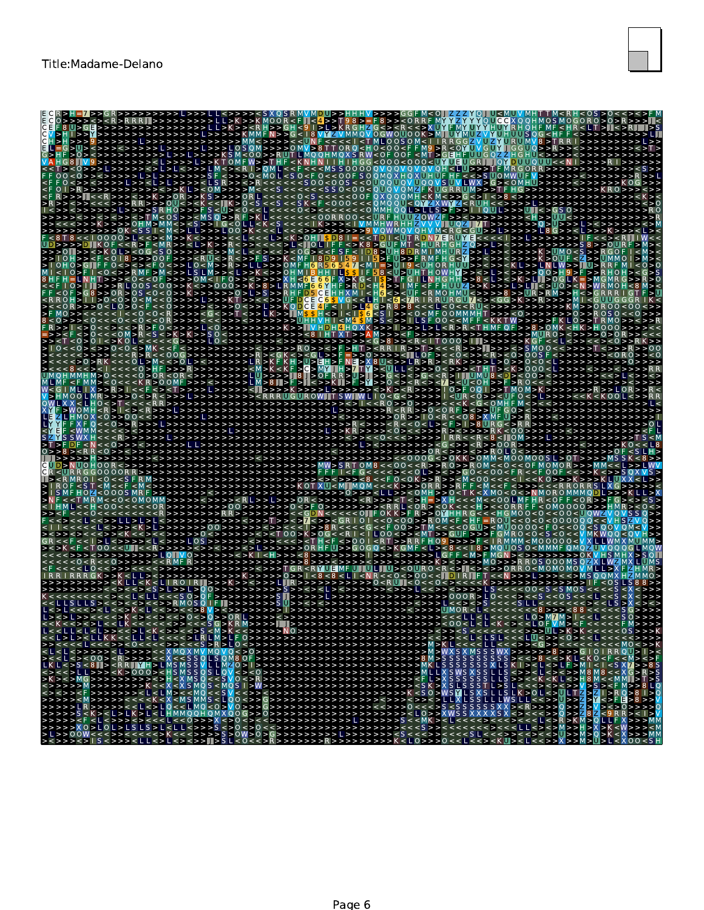

| - 8 U >                                                                                                                                                                                                                                                                                                                                                                                                                                                                                                                                                                                                                                                                                                                                                                                             | K MOOR<br>MMFN > > G < 18<br>1050M>>>0M<br>ORO<br>$M < 0$ $\Omega$ $>$ $>$ RIUT LMO                                                                                                                                                                                                                                                                                                                                                                                                               | <b>MMOVOGWOUOOK&gt;MI</b><br>0050M<<br>$RW < 0$ F OOF $~< M T > 0$                                                                                                                                                                                                                                                                                                                                                                                       | H G H U                                                                                                                                                                                                                                                                                                                                                                                                                                          |                               |
|-----------------------------------------------------------------------------------------------------------------------------------------------------------------------------------------------------------------------------------------------------------------------------------------------------------------------------------------------------------------------------------------------------------------------------------------------------------------------------------------------------------------------------------------------------------------------------------------------------------------------------------------------------------------------------------------------------------------------------------------------------------------------------------------------------|---------------------------------------------------------------------------------------------------------------------------------------------------------------------------------------------------------------------------------------------------------------------------------------------------------------------------------------------------------------------------------------------------------------------------------------------------------------------------------------------------|----------------------------------------------------------------------------------------------------------------------------------------------------------------------------------------------------------------------------------------------------------------------------------------------------------------------------------------------------------------------------------------------------------------------------------------------------------|--------------------------------------------------------------------------------------------------------------------------------------------------------------------------------------------------------------------------------------------------------------------------------------------------------------------------------------------------------------------------------------------------------------------------------------------------|-------------------------------|
| >>>> <lsr>&gt;&lt;&gt;<br/>&lt;&gt;&gt;KL&gt;&lt;0M&gt;&gt;&gt;&gt;M<br/> &gt;&gt;&gt;&lt;&gt;&gt;K&gt;&gt;0R<br/>&gt;&gt;&gt;RR&gt;&gt;&gt;OU&lt;&gt;</lsr>                                                                                                                                                                                                                                                                                                                                                                                                                                                                                                                                                                                                                                        | <u>OMFW&gt;&gt;T</u><br><>>>0 <m<br><math>0 \lt \lt 0</math> O F<br/><math>S \cap \cap &lt; \cap \cap S</math><br/><math>&gt;&gt;K</math> S <math>&gt;&gt;</math> <math>&gt;&gt;</math> OR L<br/><math>&lt;&lt; &lt;</math>IK <math>&gt; 0 &lt; S</math></m<br>                                                                                                                                                                                                                                   | 500000N<br>$\cup$<br><< 0 U 0 0 U 0 V U 0 0 V S U V LW X > G > < 0 M H U ><br>X Q Q Q M H < K M < > > G < > I < > 8 < > ><br><000<<<0MQQU<0YZXWYZ <ruh<<>&gt;&gt;&gt;</ruh<<>                                                                                                                                                                                                                                                                            |                                                                                                                                                                                                                                                                                                                                                                                                                                                  |                               |
| $<$ MS O $>$ $>$ R F<br>> K > > > > O H M > M M<br><m<>LL&gt;&gt;&gt;LOO&gt;K<br/>&gt;&gt;&gt;&gt;&gt;&gt;&gt;0K<br/>8 &lt; 10000 &gt; L &lt;&lt; &gt; M &gt;&gt; K<br/>5 &gt; 5 &gt; 5 &lt; 5<br/>&gt;&gt; D K O F &lt; &lt; R &gt; F &lt; M R &gt; &gt; &lt; L &gt; K &gt; &gt; R &lt; &gt;<br/>&lt;&gt;K0L&gt;&lt;0G<s0>&gt;&gt;&gt;&gt;&lt;&gt;&gt;M<l< th=""><th>S &lt; U &gt; 0 &lt;&lt;<br/>&gt;к<br/><math>ORROO \leq 1</math><br/><math>&lt;</math> <math>\cap</math> <math>\mid</math> <math>&lt;</math> <math>\le</math> <math>\le</math><br/><k> OH∎<br/>&gt;&lt;&lt;&lt;&lt;&gt;L&lt;  0  <br/>5500555</k></th><th>&lt; O M M H Q Q L &gt; L L S &gt; F &gt; &gt; 1<br/><math>SDBI = &lt; T</math><br/><math>\leq</math> &gt; K 8 &gt; G U F M T</th><th></th><th></th></l<></s0></m<> | S < U > 0 <<<br>>к<br>$ORROO \leq 1$<br>$<$ $\cap$ $\mid$ $<$ $\le$ $\le$<br><k> OH∎<br/>&gt;&lt;&lt;&lt;&lt;&gt;L&lt;  0  <br/>5500555</k>                                                                                                                                                                                                                                                                                                                                                       | < O M M H Q Q L > L L S > F > > 1<br>$SDBI = < T$<br>$\leq$ > K 8 > G U F M T                                                                                                                                                                                                                                                                                                                                                                            |                                                                                                                                                                                                                                                                                                                                                                                                                                                  |                               |
| $0$ H > > < F < $0$ I 8 > > > $0$ O F<br>$H$ T >>><0<<0F >>>>0M<1<br> >>>RL00S<00>>K<>>000>>K> <mark>8&gt;LR</mark><br>>>OR>OS<br>< 0 < 0 ><br>1 > 0 < 0 > 0 < M                                                                                                                                                                                                                                                                                                                                                                                                                                                                                                                                                                                                                                    | >>> <ru<>R&lt;&gt;&gt;FS&gt;&gt;K<br/><math>&lt;</math> MF <math>\parallel</math> 8 D 9<br/>&gt;&gt; &gt;&gt; 0 &gt; L &gt; 5<br/><math>&gt;</math> <math>&gt;R</math><br/>FD5CE<br/> &gt;&gt;&lt;&lt;&gt;&gt; UFDCEC6\$</ru<>                                                                                                                                                                                                                                                                    | $M$ F H ( $\sim$ $<$ I<br>$47 < M1 = 511$<br>TF58 <u>UH<br/><math>&gt;</math> K G <math>&lt;</math> T<br/><math>6</math> YHF <math>&gt;</math>RD <math>&lt;</math>H4<br/><math>X</math> M I <math>\leq</math> H 6<br/><math>\leq</math><br/><math>V</math> G <math>&lt;&lt;</math> L H</u>                                                                                                                                                               | <uhorhuu>&gt;&lt;&gt;&gt;<kl>&gt;LNLW&gt;&gt;U&gt;<br/><math>00&gt;</math>H<math>9&gt;</math>F<br/>OWHM&gt;&gt;&lt;&gt;1&gt; &lt; &gt;&gt; &gt;&gt;&gt;<br/><math>&lt;</math> L <math>&gt;</math> &lt; <math>&gt;</math> K <math>&gt;</math> L <math>\blacksquare</math> &gt; O G L K = <math>&gt;</math> M<br/>&gt;L&gt;L<b>I</b>&lt;&gt;UO&gt;<n>WI<br/><math>&gt;&gt;U</math>R <math>&gt;</math>R M <math>&gt;&gt;</math>H</n></kl></uhorhuu> |                               |
| 0 < L 0 > 0<br>< 0 > > > < 0 < < 0<br><< 0 << 0 R<br>$>$ F 0 < > > > > 1<br>0 < < < 0 M ><br>$\leq$ 5<br>$\langle$ >K>K>><br>0 I < > K 0 L I<br>$0 \lt 0 \lt 0 \gt 0 \lt 0$                                                                                                                                                                                                                                                                                                                                                                                                                                                                                                                                                                                                                         | <>>>0<br>$>>$ KODCE<br><>>LK>>ⅡM<br>$<$ >>>>>R0>><>F>HT> <r< td=""><td>4 F &lt; 1 I &gt; L 4 G &gt; R 8<br/>H &lt;&gt; 1 &lt; 1 <b>\$ 6</b> &lt; S 1 &gt; &gt; &lt; O &lt; MF O O MMMHT &gt; &gt; &gt; &lt; O &gt; &gt; &gt; &gt; &gt; &gt; &gt;<br/>VHI<m4 \$="" m="">S &lt;&gt;&gt;ILS F OO&lt;<mf <k="" f="" k="" t="" w="">&gt;&gt;&gt;&gt;F<br/> &gt;&gt;  VHDH4HQXK&gt;&gt;&gt; &gt;&gt;&gt;<br/><math>&lt;</math> T000&gt; III&gt;&gt;&gt;</mf></m4></td><td></td><td>&gt;&gt;OC</td></r<> | 4 F < 1 I > L 4 G > R 8<br>H <> 1 < 1 <b>\$ 6</b> < S 1 > > < O < MF O O MMMHT > > > < O > > > > > > ><br>VHI <m4 \$="" m="">S &lt;&gt;&gt;ILS F OO&lt;<mf <k="" f="" k="" t="" w="">&gt;&gt;&gt;&gt;F<br/> &gt;&gt;  VHDH4HQXK&gt;&gt;&gt; &gt;&gt;&gt;<br/><math>&lt;</math> T000&gt; III&gt;&gt;&gt;</mf></m4>                                                                                                                                        |                                                                                                                                                                                                                                                                                                                                                                                                                                                  | >>OC                          |
| $<<$ 0.0<br>$\leq$ 0   $>$ M $\leq$ $\leq$ $>$ 0  <br>$<$ O $>$ O R<br>$\leq$ O R<br>$\lt$ K R $>$ O O M F<br>$>$ HMOOIMR $>>$ >> $0$ <>                                                                                                                                                                                                                                                                                                                                                                                                                                                                                                                                                                                                                                                            | < M > K<br>·>III8<br>LW>>><br>$>$ OFR<br>>>LM>8∎>F>∎<>>K∥<br><1>>>>K>>>>>L>>                                                                                                                                                                                                                                                                                                                                                                                                                      | > <gk <=""><gl>&gt;F =&gt;&gt;0&gt;&gt;&gt;&gt;&lt;  LOF &gt;&lt;&lt;0&lt;&gt;&gt;<r><r>&lt;0&gt;000<br/>KH&gt;U&gt;BH&gt;FNE&gt;X8U&lt;&gt;&gt;LR&gt;R&gt;<rk>&gt;&gt;&gt;L&gt;0&gt;&gt;0&lt;0<br/><kf>C&gt;MY H&gt;7TY&gt;<ull<>&gt;&gt;0&lt;&gt;&gt;&gt;<tht><k>000<br/>&gt;F&gt;Y&gt;&gt;O&lt;&gt;<r<>&lt;7&gt;<u<oh>&gt;F&gt;R<br/><math>\langle</math>&gt;K &gt; <r> &gt; &gt; &gt; I</r></u<oh></r<></k></tht></ull<></kf></rk></r></r></gl></gk> | IUMUB < D><br>'O > F O Q I > > T M O M ><br>$ <$ IIIR $<$ O $>$ $>$ $<$ IIIF O                                                                                                                                                                                                                                                                                                                                                                   |                               |
| 5MOMH < R<br>$\leq$ $>$ $\leq$ R<br><<<br>H < < < R<br>$I$ F $\leq N \leq \leq O$ > >                                                                                                                                                                                                                                                                                                                                                                                                                                                                                                                                                                                                                                                                                                               |                                                                                                                                                                                                                                                                                                                                                                                                                                                                                                   | $\sim$ $\cap$ $\lt$ $\cap$ R<br>. > < F > I > 8                                                                                                                                                                                                                                                                                                                                                                                                          | < < K < G < ∩ M H F M<br>IURG $\leq$ > R<br>$\leq$ 0 0<br>$< 8 <$ IIIOM><br>$>$ < R $>$ > 0 0 R                                                                                                                                                                                                                                                                                                                                                  |                               |
| $0 \ge 8 \ge 8$ R R < 0 > ><br>JD>NU0H00R<>><br>R < URR R G G O O O O R R > ><br>$\leq$ $\cap$<br>oos<br>MF HOZ                                                                                                                                                                                                                                                                                                                                                                                                                                                                                                                                                                                                                                                                                     |                                                                                                                                                                                                                                                                                                                                                                                                                                                                                                   | $<<$ R > > R O > > R<br>$<0$ L > > < > > GO<br>$0 < O K$ > > R<br>UI <m∎mom<<<k>&gt;&gt;OR R &gt;&gt;R<br/>&gt;&gt;0&gt;&gt;&gt;<ll>&gt;&lt;0MH&gt;&gt;0<t< td=""><td>&lt;000G&lt;&gt;0KK&gt;0MM<m00m00sl>01<br/><math>MO &lt; Q &lt;</math> &gt; N M O R O M M M Q D</m00m00sl></td><td></td></t<></ll></m∎mom<<<k>                                                                                                                                     | <000G<>0KK>0MM <m00m00sl>01<br/><math>MO &lt; Q &lt;</math> &gt; N M O R O M M M Q D</m00m00sl>                                                                                                                                                                                                                                                                                                                                                  |                               |
| $<$ OMOMM > ><br><<>>LL>>L><br>< <l<>&gt;&gt;<k>l&gt;&gt;<br/><math>&lt;&lt;</math>&gt;<math>&lt;&lt;</math><br/>&lt;&lt;   &gt; L &lt;&gt;&gt;&gt;&gt;&lt; L &lt;&gt;&gt;&gt; &lt; L 05</k></l<>                                                                                                                                                                                                                                                                                                                                                                                                                                                                                                                                                                                                   |                                                                                                                                                                                                                                                                                                                                                                                                                                                                                                   | $<$ O R $>$ $<$ O K<br>< <onfokk>FR&gt;&gt;OMH<br/><math>\Omega</math><br/><math>&lt;&lt;0&lt;0</math> <math>0</math> &gt; &gt; R 0 M<br/>&lt;<f ∩=""> &gt;T<br/>F H O 9 &gt;&gt; F<br/><math>\leq</math>RT<math>&gt;</math><math>&gt;</math>RR</f></onfokk>                                                                                                                                                                                             | < M < < 0 0 L M F H R<br>$E < 0$ MOOOO>>><br>< 0.000000 <<br>$=$ R OW $\leq$ C<br>$<<$ 0 G U $>$ $<$ M U O O O O $<$ F O $<<$ O C<br>$\leq$ ()<br>$<$ MOOOOO $<$                                                                                                                                                                                                                                                                                 |                               |
| <u><t00<<wn<<r>&gt;&gt;&gt;&gt;&lt;&gt;</t00<<wn<<r></u><br>R < 0 >                                                                                                                                                                                                                                                                                                                                                                                                                                                                                                                                                                                                                                                                                                                                 |                                                                                                                                                                                                                                                                                                                                                                                                                                                                                                   | FIJI>>GOGO<>K<br> M>F                                                                                                                                                                                                                                                                                                                                                                                                                                    | <8 << 1 8 > MO UO S<br><><>>0R<br>$O$ < M O M O M O V M L                                                                                                                                                                                                                                                                                                                                                                                        |                               |
| <><<><<>><>>>>>>>>>>>>>>>>>>>>>>>>>>                                                                                                                                                                                                                                                                                                                                                                                                                                                                                                                                                                                                                                                                                                                                                                |                                                                                                                                                                                                                                                                                                                                                                                                                                                                                                   | ∩∩∩¤<br>$>>$ UMOR <l<< td=""><td><math>&lt;&lt;8</math> &gt;&gt;&gt;<math>&lt;&lt;8</math> 8 <math>&lt;&lt;</math><br/><ll<l<<<<<lo>MMM&gt;I</ll<l<<<<<lo></td><td><math>&lt;</math> L S <math>&gt;</math> X <math>&lt;</math> <math>&gt;</math> <math>&lt;</math> <math>&gt;</math></td></l<<>                                                                                                                                                          | $<<8$ >>> $<<8$ 8 $<<$<br><ll<l<<<<<lo>MMM&gt;I</ll<l<<<<<lo>                                                                                                                                                                                                                                                                                                                                                                                    | $<$ L S $>$ X $<$ $>$ $<$ $>$ |
|                                                                                                                                                                                                                                                                                                                                                                                                                                                                                                                                                                                                                                                                                                                                                                                                     |                                                                                                                                                                                                                                                                                                                                                                                                                                                                                                   |                                                                                                                                                                                                                                                                                                                                                                                                                                                          |                                                                                                                                                                                                                                                                                                                                                                                                                                                  |                               |
|                                                                                                                                                                                                                                                                                                                                                                                                                                                                                                                                                                                                                                                                                                                                                                                                     |                                                                                                                                                                                                                                                                                                                                                                                                                                                                                                   |                                                                                                                                                                                                                                                                                                                                                                                                                                                          |                                                                                                                                                                                                                                                                                                                                                                                                                                                  |                               |